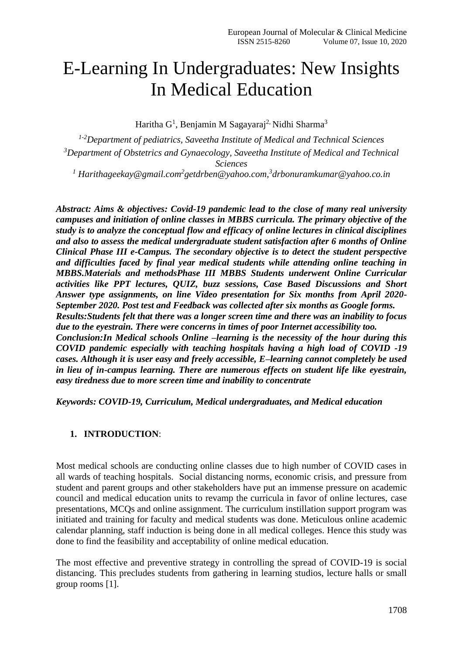# E-Learning In Undergraduates: New Insights In Medical Education

Haritha G<sup>1</sup>, Benjamin M Sagayaraj<sup>2,</sup> Nidhi Sharma<sup>3</sup>

*1-2Department of pediatrics, Saveetha Institute of Medical and Technical Sciences <sup>3</sup>Department of Obstetrics and Gynaecology, Saveetha Institute of Medical and Technical Sciences <sup>1</sup> Harithageekay@gmail.com<sup>2</sup> getdrben@yahoo.com, 3 drbonuramkumar@yahoo.co.in*

*Abstract: Aims & objectives: Covid-19 pandemic lead to the close of many real university campuses and initiation of online classes in MBBS curricula. The primary objective of the study is to analyze the conceptual flow and efficacy of online lectures in clinical disciplines and also to assess the medical undergraduate student satisfaction after 6 months of Online Clinical Phase III e-Campus. The secondary objective is to detect the student perspective and difficulties faced by final year medical students while attending online teaching in MBBS.Materials and methodsPhase III MBBS Students underwent Online Curricular activities like PPT lectures, QUIZ, buzz sessions, Case Based Discussions and Short Answer type assignments, on line Video presentation for Six months from April 2020- September 2020. Post test and Feedback was collected after six months as Google forms. Results:Students felt that there was a longer screen time and there was an inability to focus due to the eyestrain. There were concerns in times of poor Internet accessibility too. Conclusion:In Medical schools Online –learning is the necessity of the hour during this COVID pandemic especially with teaching hospitals having a high load of COVID -19 cases. Although it is user easy and freely accessible, E–learning cannot completely be used in lieu of in-campus learning. There are numerous effects on student life like eyestrain, easy tiredness due to more screen time and inability to concentrate*

*Keywords: COVID-19, Curriculum, Medical undergraduates, and Medical education*

#### **1. INTRODUCTION**:

Most medical schools are conducting online classes due to high number of COVID cases in all wards of teaching hospitals. Social distancing norms, economic crisis, and pressure from student and parent groups and other stakeholders have put an immense pressure on academic council and medical education units to revamp the curricula in favor of online lectures, case presentations, MCQs and online assignment. The curriculum instillation support program was initiated and training for faculty and medical students was done. Meticulous online academic calendar planning, staff induction is being done in all medical colleges. Hence this study was done to find the feasibility and acceptability of online medical education.

The most effective and preventive strategy in controlling the spread of COVID-19 is social distancing. This precludes students from gathering in learning studios, lecture halls or small group rooms [1].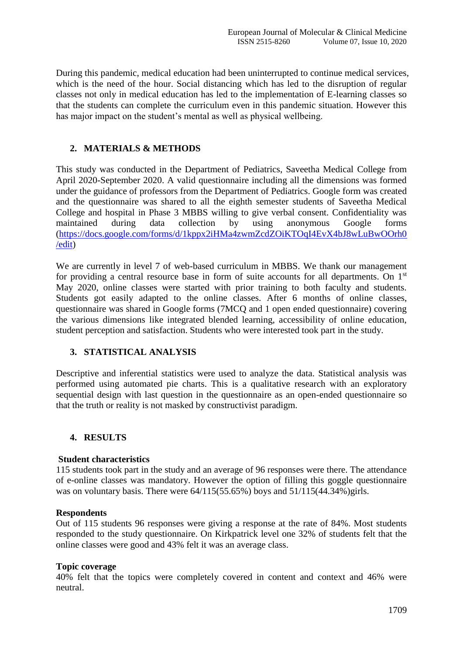During this pandemic, medical education had been uninterrupted to continue medical services, which is the need of the hour. Social distancing which has led to the disruption of regular classes not only in medical education has led to the implementation of E-learning classes so that the students can complete the curriculum even in this pandemic situation. However this has major impact on the student's mental as well as physical wellbeing.

#### **2. MATERIALS & METHODS**

This study was conducted in the Department of Pediatrics, Saveetha Medical College from April 2020-September 2020. A valid questionnaire including all the dimensions was formed under the guidance of professors from the Department of Pediatrics. Google form was created and the questionnaire was shared to all the eighth semester students of Saveetha Medical College and hospital in Phase 3 MBBS willing to give verbal consent. Confidentiality was maintained during data collection by using anonymous Google forms [\(https://docs.google.com/forms/d/1kppx2iHMa4zwmZcdZOiKTOqI4EvX4bJ8wLuBwOOrh0](https://docs.google.com/forms/d/1kppx2iHMa4zwmZcdZOiKTOqI4EvX4bJ8wLuBwOOrh0/edit) [/edit\)](https://docs.google.com/forms/d/1kppx2iHMa4zwmZcdZOiKTOqI4EvX4bJ8wLuBwOOrh0/edit)

We are currently in level 7 of web-based curriculum in MBBS. We thank our management for providing a central resource base in form of suite accounts for all departments. On  $1<sup>st</sup>$ May 2020, online classes were started with prior training to both faculty and students. Students got easily adapted to the online classes. After 6 months of online classes, questionnaire was shared in Google forms (7MCQ and 1 open ended questionnaire) covering the various dimensions like integrated blended learning, accessibility of online education, student perception and satisfaction. Students who were interested took part in the study.

#### **3. STATISTICAL ANALYSIS**

Descriptive and inferential statistics were used to analyze the data. Statistical analysis was performed using automated pie charts. This is a qualitative research with an exploratory sequential design with last question in the questionnaire as an open-ended questionnaire so that the truth or reality is not masked by constructivist paradigm.

#### **4. RESULTS**

#### **Student characteristics**

115 students took part in the study and an average of 96 responses were there. The attendance of e-online classes was mandatory. However the option of filling this goggle questionnaire was on voluntary basis. There were  $64/115(55.65%)$  boys and  $51/115(44.34%)$  girls.

#### **Respondents**

Out of 115 students 96 responses were giving a response at the rate of 84%. Most students responded to the study questionnaire. On Kirkpatrick level one 32% of students felt that the online classes were good and 43% felt it was an average class.

#### **Topic coverage**

40% felt that the topics were completely covered in content and context and 46% were neutral.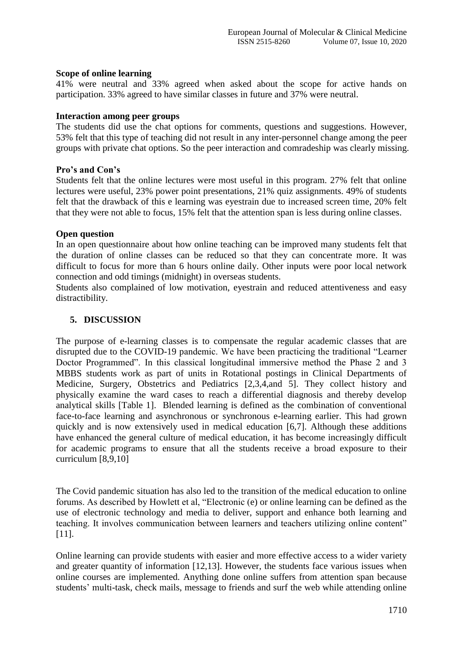#### **Scope of online learning**

41% were neutral and 33% agreed when asked about the scope for active hands on participation. 33% agreed to have similar classes in future and 37% were neutral.

#### **Interaction among peer groups**

The students did use the chat options for comments, questions and suggestions. However, 53% felt that this type of teaching did not result in any inter-personnel change among the peer groups with private chat options. So the peer interaction and comradeship was clearly missing.

#### **Pro's and Con's**

Students felt that the online lectures were most useful in this program. 27% felt that online lectures were useful, 23% power point presentations, 21% quiz assignments. 49% of students felt that the drawback of this e learning was eyestrain due to increased screen time, 20% felt that they were not able to focus, 15% felt that the attention span is less during online classes.

#### **Open question**

In an open questionnaire about how online teaching can be improved many students felt that the duration of online classes can be reduced so that they can concentrate more. It was difficult to focus for more than 6 hours online daily. Other inputs were poor local network connection and odd timings (midnight) in overseas students.

Students also complained of low motivation, eyestrain and reduced attentiveness and easy distractibility.

#### **5. DISCUSSION**

The purpose of e-learning classes is to compensate the regular academic classes that are disrupted due to the COVID-19 pandemic. We have been practicing the traditional "Learner Doctor Programmed". In this classical longitudinal immersive method the Phase 2 and 3 MBBS students work as part of units in Rotational postings in Clinical Departments of Medicine, Surgery, Obstetrics and Pediatrics [2,3,4,and 5]. They collect history and physically examine the ward cases to reach a differential diagnosis and thereby develop analytical skills [Table 1]. Blended learning is defined as the combination of conventional face-to-face learning and asynchronous or synchronous e-learning earlier. This had grown quickly and is now extensively used in medical education [6,7]. Although these additions have enhanced the general culture of medical education, it has become increasingly difficult for academic programs to ensure that all the students receive a broad exposure to their curriculum [8,9,10]

The Covid pandemic situation has also led to the transition of the medical education to online forums. As described by Howlett et al, "Electronic (e) or online learning can be defined as the use of electronic technology and media to deliver, support and enhance both learning and teaching. It involves communication between learners and teachers utilizing online content" [11].

Online learning can provide students with easier and more effective access to a wider variety and greater quantity of information [12,13]. However, the students face various issues when online courses are implemented. Anything done online suffers from attention span because students' multi-task, check mails, message to friends and surf the web while attending online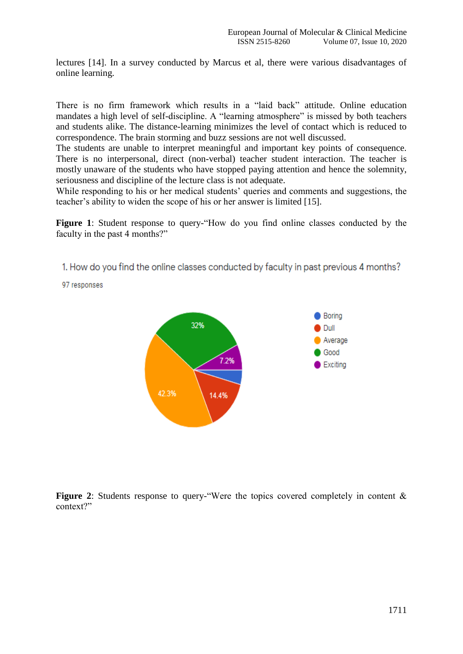lectures [14]. In a survey conducted by Marcus et al, there were various disadvantages of online learning.

There is no firm framework which results in a "laid back" attitude. Online education mandates a high level of self-discipline. A "learning atmosphere" is missed by both teachers and students alike. The distance-learning minimizes the level of contact which is reduced to correspondence. The brain storming and buzz sessions are not well discussed.

The students are unable to interpret meaningful and important key points of consequence. There is no interpersonal, direct (non-verbal) teacher student interaction. The teacher is mostly unaware of the students who have stopped paying attention and hence the solemnity, seriousness and discipline of the lecture class is not adequate.

While responding to his or her medical students' queries and comments and suggestions, the teacher's ability to widen the scope of his or her answer is limited [15].

Figure 1: Student response to query-"How do you find online classes conducted by the faculty in the past 4 months?"

1. How do you find the online classes conducted by faculty in past previous 4 months?

97 responses



Figure 2: Students response to query-"Were the topics covered completely in content & context?"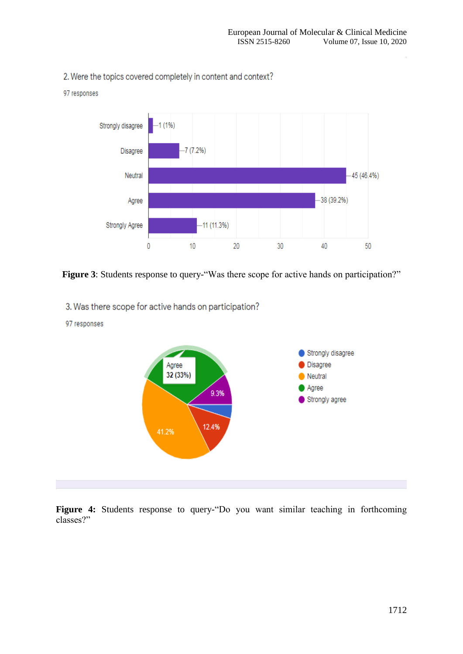2. Were the topics covered completely in content and context?



Figure 3: Students response to query-"Was there scope for active hands on participation?"

3. Was there scope for active hands on participation?

# Strongly disagree Disagree Agree 32 (33%)  $\blacksquare$  Neutral Agree 9.3% Strongly agree 12.4% 41.2%

#### 97 responses

97 responses

**Figure 4:** Students response to query-"Do you want similar teaching in forthcoming classes?"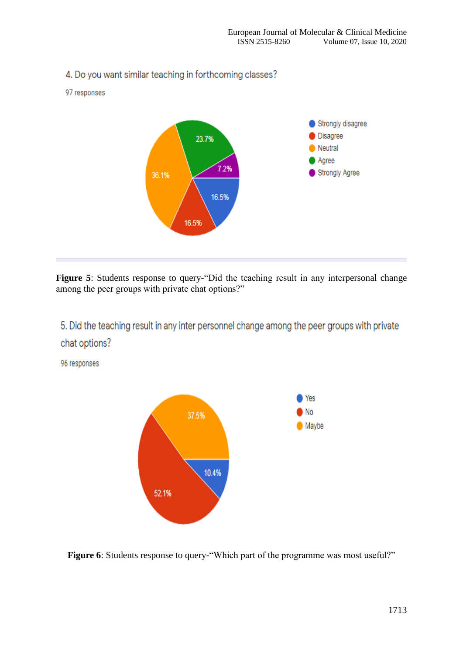

Figure 5: Students response to query-"Did the teaching result in any interpersonal change among the peer groups with private chat options?"

5. Did the teaching result in any inter personnel change among the peer groups with private chat options?

96 responses



**Figure 6**: Students response to query-"Which part of the programme was most useful?"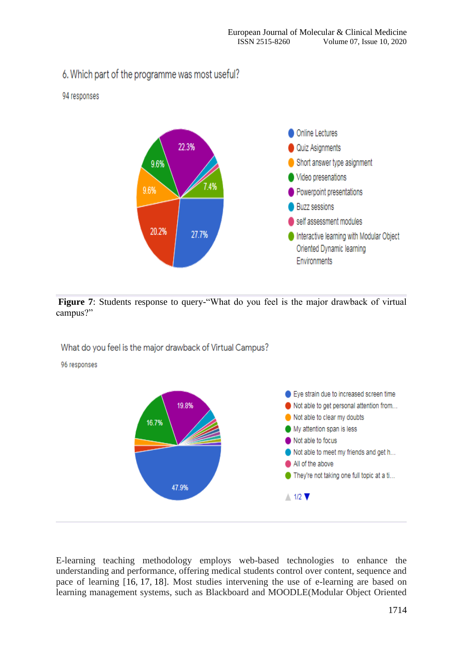# 6. Which part of the programme was most useful?

### 94 responses



Figure 7: Students response to query-"What do you feel is the major drawback of virtual campus?"

What do you feel is the major drawback of Virtual Campus?

96 responses



E-learning teaching methodology employs web-based technologies to enhance the understanding and performance, offering medical students control over content, sequence and pace of learning [16, 17, 18]. Most studies intervening the use of e-learning are based on learning management systems, such as Blackboard and MOODLE(Modular Object Oriented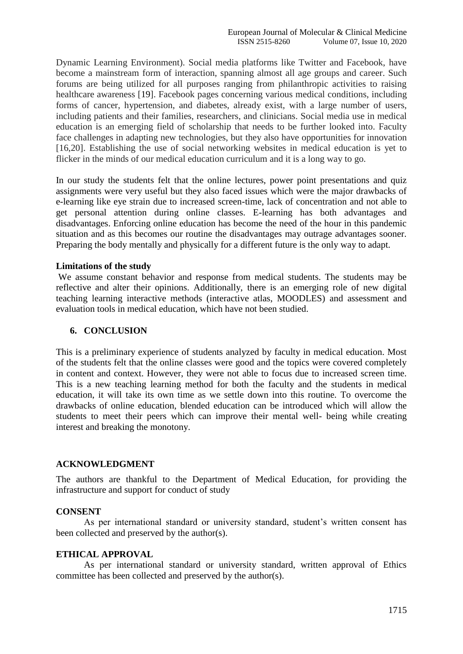Dynamic Learning Environment). Social media platforms like Twitter and Facebook, have become a mainstream form of interaction, spanning almost all age groups and career. Such forums are being utilized for all purposes ranging from philanthropic activities to raising healthcare awareness [19]. Facebook pages concerning various medical conditions, including forms of cancer, hypertension, and diabetes, already exist, with a large number of users, including patients and their families, researchers, and clinicians. Social media use in medical education is an emerging field of scholarship that needs to be further looked into. Faculty face challenges in adapting new technologies, but they also have opportunities for innovation [16,20]. Establishing the use of social networking websites in medical education is yet to flicker in the minds of our medical education curriculum and it is a long way to go.

In our study the students felt that the online lectures, power point presentations and quiz assignments were very useful but they also faced issues which were the major drawbacks of e-learning like eye strain due to increased screen-time, lack of concentration and not able to get personal attention during online classes. E-learning has both advantages and disadvantages. Enforcing online education has become the need of the hour in this pandemic situation and as this becomes our routine the disadvantages may outrage advantages sooner. Preparing the body mentally and physically for a different future is the only way to adapt.

#### **Limitations of the study**

We assume constant behavior and response from medical students. The students may be reflective and alter their opinions. Additionally, there is an emerging role of new digital teaching learning interactive methods (interactive atlas, MOODLES) and assessment and evaluation tools in medical education, which have not been studied.

#### **6. CONCLUSION**

This is a preliminary experience of students analyzed by faculty in medical education. Most of the students felt that the online classes were good and the topics were covered completely in content and context. However, they were not able to focus due to increased screen time. This is a new teaching learning method for both the faculty and the students in medical education, it will take its own time as we settle down into this routine. To overcome the drawbacks of online education, blended education can be introduced which will allow the students to meet their peers which can improve their mental well- being while creating interest and breaking the monotony.

#### **ACKNOWLEDGMENT**

The authors are thankful to the Department of Medical Education, for providing the infrastructure and support for conduct of study

#### **CONSENT**

As per international standard or university standard, student's written consent has been collected and preserved by the author(s).

#### **ETHICAL APPROVAL**

As per international standard or university standard, written approval of Ethics committee has been collected and preserved by the author(s).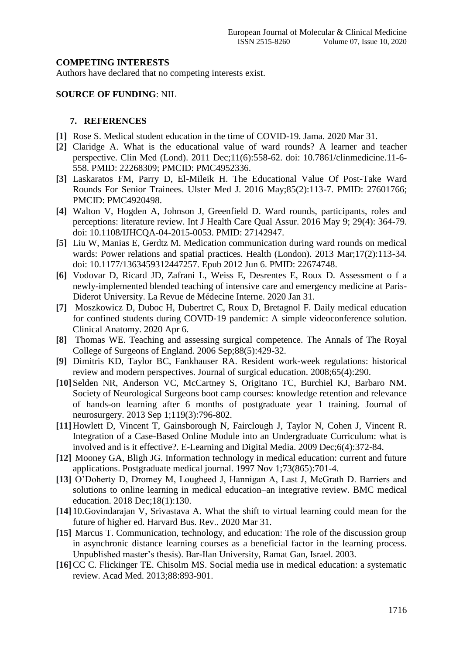#### **COMPETING INTERESTS**

Authors have declared that no competing interests exist.

#### **SOURCE OF FUNDING**: NIL

#### **7. REFERENCES**

- **[1]** Rose S. Medical student education in the time of COVID-19. Jama. 2020 Mar 31.
- **[2]** Claridge A. What is the educational value of ward rounds? A learner and teacher perspective. Clin Med (Lond). 2011 Dec;11(6):558-62. doi: 10.7861/clinmedicine.11-6- 558. PMID: 22268309; PMCID: PMC4952336.
- **[3]** Laskaratos FM, Parry D, El-Mileik H. The Educational Value Of Post-Take Ward Rounds For Senior Trainees. Ulster Med J. 2016 May;85(2):113-7. PMID: 27601766; PMCID: PMC4920498.
- **[4]** Walton V, Hogden A, Johnson J, Greenfield D. Ward rounds, participants, roles and perceptions: literature review. Int J Health Care Qual Assur. 2016 May 9; 29(4): 364-79. doi: 10.1108/IJHCQA-04-2015-0053. PMID: 27142947.
- **[5]** Liu W, Manias E, Gerdtz M. Medication communication during ward rounds on medical wards: Power relations and spatial practices. Health (London). 2013 Mar;17(2):113-34. doi: 10.1177/1363459312447257. Epub 2012 Jun 6. PMID: 22674748.
- **[6]** Vodovar D, Ricard JD, Zafrani L, Weiss E, Desrentes E, Roux D. Assessment o f a newly-implemented blended teaching of intensive care and emergency medicine at Paris-Diderot University. La Revue de Médecine Interne. 2020 Jan 31.
- **[7]** Moszkowicz D, Duboc H, Dubertret C, Roux D, Bretagnol F. Daily medical education for confined students during COVID‐19 pandemic: A simple videoconference solution. Clinical Anatomy. 2020 Apr 6.
- **[8]** Thomas WE. Teaching and assessing surgical competence. The Annals of The Royal College of Surgeons of England. 2006 Sep;88(5):429-32.
- **[9]** Dimitris KD, Taylor BC, Fankhauser RA. Resident work-week regulations: historical review and modern perspectives. Journal of surgical education. 2008;65(4):290.
- **[10]**Selden NR, Anderson VC, McCartney S, Origitano TC, Burchiel KJ, Barbaro NM. Society of Neurological Surgeons boot camp courses: knowledge retention and relevance of hands-on learning after 6 months of postgraduate year 1 training. Journal of neurosurgery. 2013 Sep 1;119(3):796-802.
- **[11]**Howlett D, Vincent T, Gainsborough N, Fairclough J, Taylor N, Cohen J, Vincent R. Integration of a Case-Based Online Module into an Undergraduate Curriculum: what is involved and is it effective?. E-Learning and Digital Media. 2009 Dec;6(4):372-84.
- **[12]** Mooney GA, Bligh JG. Information technology in medical education: current and future applications. Postgraduate medical journal. 1997 Nov 1;73(865):701-4.
- **[13]** O'Doherty D, Dromey M, Lougheed J, Hannigan A, Last J, McGrath D. Barriers and solutions to online learning in medical education–an integrative review. BMC medical education. 2018 Dec;18(1):130.
- **[14]** 10.Govindarajan V, Srivastava A. What the shift to virtual learning could mean for the future of higher ed. Harvard Bus. Rev.. 2020 Mar 31.
- **[15]** Marcus T. Communication, technology, and education: The role of the discussion group in asynchronic distance learning courses as a beneficial factor in the learning process. Unpublished master's thesis). Bar-Ilan University, Ramat Gan, Israel. 2003.
- **[16]**CC C. Flickinger TE. Chisolm MS. Social media use in medical education: a systematic review. Acad Med. 2013;88:893-901.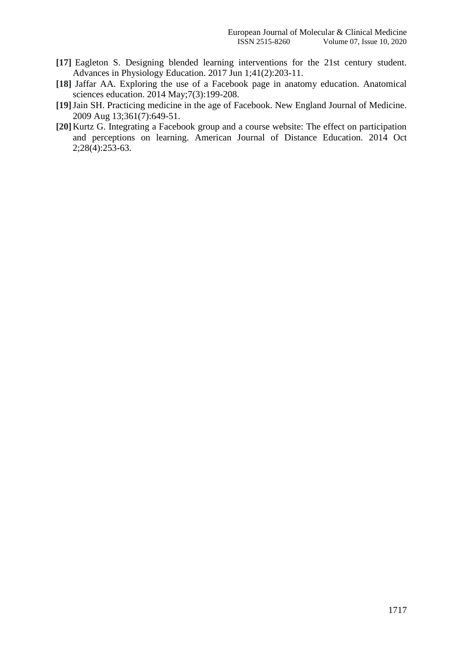- **[17]** Eagleton S. Designing blended learning interventions for the 21st century student. Advances in Physiology Education. 2017 Jun 1;41(2):203-11.
- **[18]** Jaffar AA. Exploring the use of a Facebook page in anatomy education. Anatomical sciences education. 2014 May;7(3):199-208.
- **[19]**Jain SH. Practicing medicine in the age of Facebook. New England Journal of Medicine. 2009 Aug 13;361(7):649-51.
- **[20]**Kurtz G. Integrating a Facebook group and a course website: The effect on participation and perceptions on learning. American Journal of Distance Education. 2014 Oct 2;28(4):253-63.